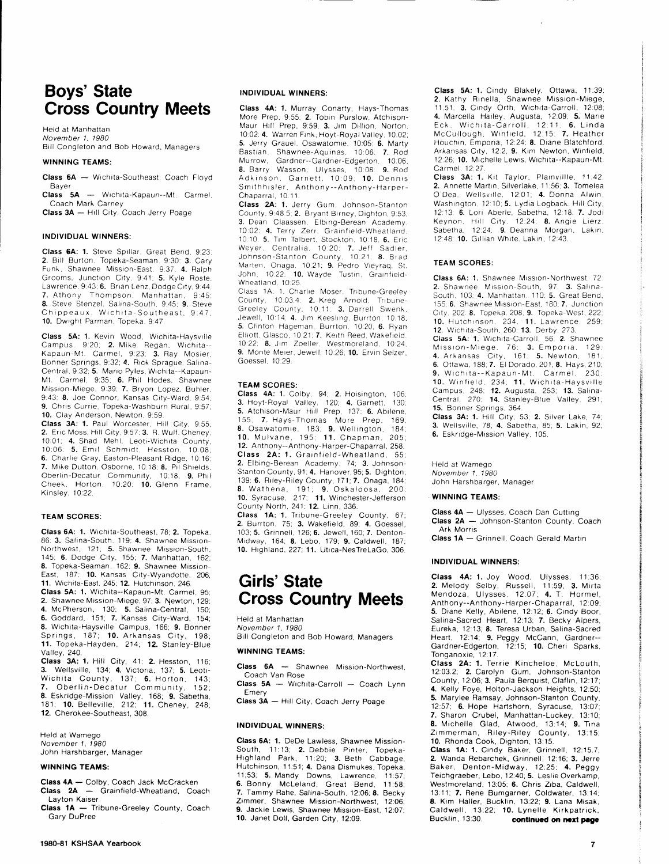# Boys' State Cross Country Meets

Held at Manhattan November 1. 1980 Bill Congleton and Bob Howard, Managers

#### WINNING TEAMS:

Class 6A - Wichita-Southeast. Coach Floyd Bayer Class 5A - Wichita-Kapaun--Mt. Carmel.

Coach Mark Carney Class 3A - Hill City. Coach Jerry Poage

INDIVIDUAL WINNERS:

Class 6A: 1. Steve Spillar, Great Bend, 9:23: 2. Bill Burton, Topeka-Seaman, 9:30; 3. Cary Funk, Shawnee Mission-East, 9:37: 4. Ralph Grooms. Junction City. 9:41: 5. Kyle Roste. Lawrence, 9:43; 6. Brian Lenz, Dodge City, 9:44. 7. Athony Thompson, Manhattan, 9:45; 8. Steve Stenzel, Salina-South. 9.45. 9. Steve Chippeaux. Wichita-Southeast, 9:47. 10. Dwight Parman. Topeka, 9:47

Class 5A: 1. Kevin Wood, Wichita-Haysville Campus, 9:20; **2.** Mike Regan, Wichita--<br>Kapaun-Mt. Carmel, 9:23; **3.** Ray Mosier, Bonner Springs, 9:32; 4. Rick Sprague. Salina-Central. 9:32: 5. Mario Pyles, Wichita--Kapaun-Mt. Carmel, 9.35, 6. Phil Hodes. Shawnee Missron-Miege, 9:39: 7. Bryon Lopez. Buhler, 9 43; 8. Joe Connor, Kansas City-Ward, 9.54, 9. Chris Currie, Topeka-Washburn Rural, 9:57: 10. Clay Anderson, Newton, 9.59.

Class 3A: 1. Paul Worcester. Hill City, 9:55; 2. Eric Moss, Hill City, 9:57: 3. R. Wulf, Cheney, 10 01: 4. Shad Mehl, Leoti-Wichrta County, 10.06, 5. Emrl Schmidt, Hesston. 10 08: 6. Charlie Gray, Easton-Pleasant Ridge. 10:16; 7. Mike Dutton, Osborne, 10:18: 8. Pil Shields. Oberlin-Decatur Community, 10:18; 9. Phil Cheek. Horton, 10.20. 10. Glenn Frame. Kinsley, 10:22.

#### TEAM SCORES:

Class 6A: 1. Wichita-Southeast, 78: 2. Topeka, 86; 3. Salina-South, 119; 4. Shawnee Mission-Northwest, 121; 5. Shawnee Mission-South. 145; 6. Dodge Crty, 155; 7. Manhattan, 162, 8. Topeka-Seaman, 162: 9. Shawnee Mission-East, 187. 10. Kansas City-Wyandotte, 206; 11. Wichita-East. 245: 12. Hutchinson.246

Class 5A: 1. Wichita--Kapaun-Mt. Carmel, 95, 2. Shawnee Mission-Miege, 97; 3. Newton, 129; 4. McPherson, 130; 5. Salina-Central, 150: 6. Goddard, 151, 7. Kansas City-Ward, 154; 8. Wichita-Haysville Campus, 166; 9. Bonner Springs, 187; 10. Arkansas City, 198; 11. Topeka-Hayden, 214: 12. Stanley-Blue Valley, 24O.

Class 3A: 1. Hill City, 41: 2. Hesston, 116; 3. Wellsville, 134; **4.** Victoria, 137; **5.** Leoti-Wichita County, 137, 6. Horton, 143; 7. Oberlin-Decatur Community, 152; **8.** Eskridge-Mission Valley, 168; **9.** Sabetha,<br>181; **10.** Belleville, 212; **11.** Cheney, 248; 12. Cherokee-Southeast, 308.

Held at Wamego November 1, 1980 John Harshbarger, Manager

#### WINNING TEAMS:

Class 4A - Colby, Coach Jack McCracken Class 2A - Grainfield-Wheatland, Coach Layton Kaiser

Class 1A - Tribune-Greeley County, Coach Gary DuPree

#### INDIVIDUAL WINNERS:

Class 4A: 1. Murray Conarty, Hays-Thomas More Prep. 9:55; **2.** Tobin Purslow, Atchison-<br>Maur Hill Prep, 9:59; **3.** Jim Dillion, Norton. 10.42.4. Warren Frnk, Hoyt-Royal Valley, 10.02; 5. Jerry Grauel. Osawatomie. 10:05: 6. Marty Bastian, Shawnee-Aquinas, 10:06; 7. Rod Murrow, Gardner--Gardner-Edgerton. 10.06, 8. Barry Wasson, Ulysses, 10:08: 9. Rod Adkinson. Garnett, 10:09: 10. Dennis Smithhrsler, Anthony--Anthony-Harper-Chaparral, 10:11.

Class 2A:1. Jerry Gum, Johnson-Stanton County, 9:48.5; 2. Bryant Birney, Dighton, 9:53; 3. Dean Claassen, Elbing-Berean Academy, 10:02; 4. Terry Zerr, Grainfield-Wheatland, 10 10 5. Trm Talbert, Stockton. 10 18, 6. Eric Weyer, Centralia, 10:20; 7. Jeff Sadler, Johnson-Stanton County, 10.21: 8. Brad Marten, Onaga, 10 21; 9. Pedro Vieyraq. St. John, 10:22; 10. Wayde Tustin, Grainfield-Wheatland. 10.25

Class 1A: 1. Charlie Moser. Tribune-Greeley County, 10:03.4. 2. Kreg Arnold. Tribune-Greeley County, 10:11: 3. Darrell Swenk, Jewell, 10:14; 4. Jim Keesling, Burrton, 10:18; 5. Clinton Hageman. Burrton. 10:20, 6. Ryan Elliott. Glasco, 10:21; 7. Keith Reed, Wakefield. 10 22. 8. Jrrr Zoeller, Westmoreland. 10 24. 9. Monte Meier, Jewell, 10:26; 10. Ervin Selzer, Goessel, 10.29.

#### TEAM SCOBES:

Class 4A: 1. Colby, 94; 2. Hoisington, 106; 3. Hoyt-Royal Valley. 120, 4. Garnett, 130, 5. Atchison-Maur Hill Prep, 137: 6. Abilene. 1 55, 7. Hays-Thomas More Prep. 169. 8. Osawatomie. 183; 9. Wellrngton. 184, 10. Mulvane, 195, 11. Chapman. 205; 12. Anthony--Anthony-Harper-Chaparral, 258 Class 2A: 1. Grainfield-Wheatland, 55; 2. Elbing-Berean Academy, 74; 3. Johnson-Stanton County, 91; 4. Hanover,95; 5. Dighton, 139. 6. Rrley-Riley County, 171;7. Onaga, 184; 8. Wathena, 191; 9. Oskaloosa, 200; **10.** Syracuse, 217; **11.** Winchester-Jefferson County North, 241; 12. Linn, 336.

Class 1A: 1. Tribune-Greeley County, 67;<br>2. Burrton, 75; 3. Wakefield, 89; 4. Goessel, 103; 5. Grinnell, 126; 6. Jewell, 160; 7. Denton-Midway, 164; 8. Lebo, 179; 9. Caldwell, 187; 10. Highland, 227; 11. Utica-NesTreLaGo, 306.

## Girls' State Cross Country Meets

Held at Manhattan November 1, 1980 Bill Congleton and Bob Howard, Managers

#### WINNING TEAMS:

Class 6A - Shawnee Mission-Northwest, Coach Van Rose

 $Class 5A - Wichita-Carroll - Coach Lynn$ Emery

Class 3A - Hill City, Coach Jerry Poage

#### INDIVIDUAL WINNERS:

Class 64: 1. DeDe Lawless, Shawnee Mission-South, 11:13; 2. Debbie Pinter, Topeka-Highland Park, 11:20; 3. Beth Cabbage, Hutchinson, 11:51; 4. Dana Dismukes, Topeka,  $H:53$ ; 5. Mandy Downs, Lawrence,  $11:57$ ;  $\overline{6}$ . Bonny McLeland, Great Bend,  $11:58$ 6. Bonny McLeland, Great Bend, 7. Tammy Rahe, Salina-South, 12:06; 8. Becky Zimmer, Shawnee Mission-Northwest, 12:06: 9. Jackie Lewis, Shawnee Mission-East, 12.07', 10. Janet Doll, Garden City, 12:09.

Class 5A: 1. Cindy Blakely. Ottawa, 11:39: 2. Kathy Flinella, Shawnee Mrssron-Mrege, 11 51. 3. Cindy Orth. Wichrta-Carroll, 12.08. 4. Marcella Hailey, Augusta, 12:09; 5. Marie Eck, Wichita-Carroll, 12:11; **6.** Linda<br>McCullough, Winfield, 12:15: **7.** Heather Houchin, Emporia, 12.24; 8. Diane Blatchford. Arkansas City, 12:2, **9.** Kim Newton, Winfield,<br>12:26; **10.** Michelle Lewis, Wichita--Kapaun-Mt. Carmel 12:27.

Class 3A: 1. Kit Taylor, Plainvillle, 11:42: 2. Annette Martin, Silverlake, 11:56: 3. Tomelea O'Dea. Wellsville. 12:01; 4. Donna Alwin. Washington, 12:10; 5. Lydia Logback, Hill City, 12:13: 6. Lori Aberle, Sabetha, 12:18: 7. Jodi Keynon. Hill City, 12:24; 8. Angie Lierz, Sabetha, 12:24: 9. Deanna Morgan, Lakin, 12 48, 10. Grllian Whrte, Lakin, 12 43.

#### TEAM SCORES:

Class 6A: 1. Shawnee Mission-Northwest. 72 2. Shawnee Mission-South, 97; 3. Salina-South, 103; 4. Manhattan, 110; 5. Great Bend, 155. 6. Shawnee Mission-East, 180, 7. Junction City. 202. 8. Topeka. 208; 9. Topeka-West, 222; 10. Hutchrnson. 234. 11. Lawrence. 259:

12. Wichita-South, 260: 13. Derby, 273.<br>Class 5A: 1. Wichita-Carroll, 56: 2. Shawnee Mission-Miege, 76; **3.** Emporia, 129:<br>**4.** Arkansas City, 161; **5.** Newton, 181; 6. Ottawa, 188,7. El Dorado. 201,8. Hays, 210; 9. Wichita--Kapaun-Mt. Carmel. 230. 10. Winfield, 234; 11. Wichita-Haysville<br>Campus, 248; 12. Augusta, 253; 13. Salina-Central, 270; 14. Stanley-Blue Valley, 291; 15. Bonner Springs. 364

Class 3A: 1. Hill City, 53; 2. Silver Lake, 74; 3. Wellsville, 78, 4. Sabetha, 85; 5. Lakin, 92. 6. Eskrrdge-Mrssion Valley, 105.

Held at Wamego November 1.1980 John Harshbarger, Manager

#### WINNING TEAMS:

Class 4A - Ulysses, Coach Dan Cutting Class 2A - Johnson-Stanton County, Coach Ark Morris

Class 1A - Grinnell, Coach Gerald Martin

#### INDIVIDUAL WINNERS:

Class 4A: 1. Joy Wood, Ulysses, 11:36; **2.** Melody Selby, Russell, 11:59; **3.** Mirta<br>Mendoza, Ulysses, 12:07; **4.** T. Hormel, Anthony--Anthony-Harper-Chaparral, 12:09;<br>**5.** Diane Kelly, Abilene, 12:12; **6.** Cindy Boor, Salina-Sacred Heart, 12:13, 7. Becky Alpers, Eureka, 12:13; 8. Teresa Urban, Salina-Sacred Heart. 12:14; 9. Peggy McCann, Gardner--Gardner-Edgerton, 12:15; 10. Cheri Sparks. Tonganoxie, 12:17.

Class 2A:1. Terrie Kincheloe, McLouth, 1203.2; 2. Carolyn Gum, Johnson-Stanton County, 12:06; 3. Paula Berquist, Claflin, 12:17; 4. Kelly Foye, Holton-Jackson Heights, 12:50: 5. Marylee Ramsay, Johnson-Stanton County, 12.57, 6. Hope Hartshorn, Syracuse, 13:07; 7. Sharon Crubel, Manhattan-Luckey, 13:10; 8. Michelle Glad, Atwood, 13:14; 9. Tina Zimmerman, Riley-Riley County, 13:15;<br>**10.** Rhonda.Cook,Dighton, 13:15.

Class 1A: 1. Cindy Baker, Grinnell, 12:15.7; 2. Wanda Rebarchek, Grinnell, 12:16; 3. Jerre Baker, Denton-Midway, 12.25, 4. Peggy Terchgraeber, Lebo, 12:40, 5. Leslie Overkamp, Westmoreland, 13:05; 6. Chris Ziba, Caldwell, 13:11; 7. Rene Bumgarner, Coldwater, 13:14: 8. Kim Haller, Bucklin, 13:22: 9. Lana Misak, Caldwell, 13:22; 10. Lynelle Kirkpatrick,<br>Bucklin, 13:30. continued on next bage continued on next page